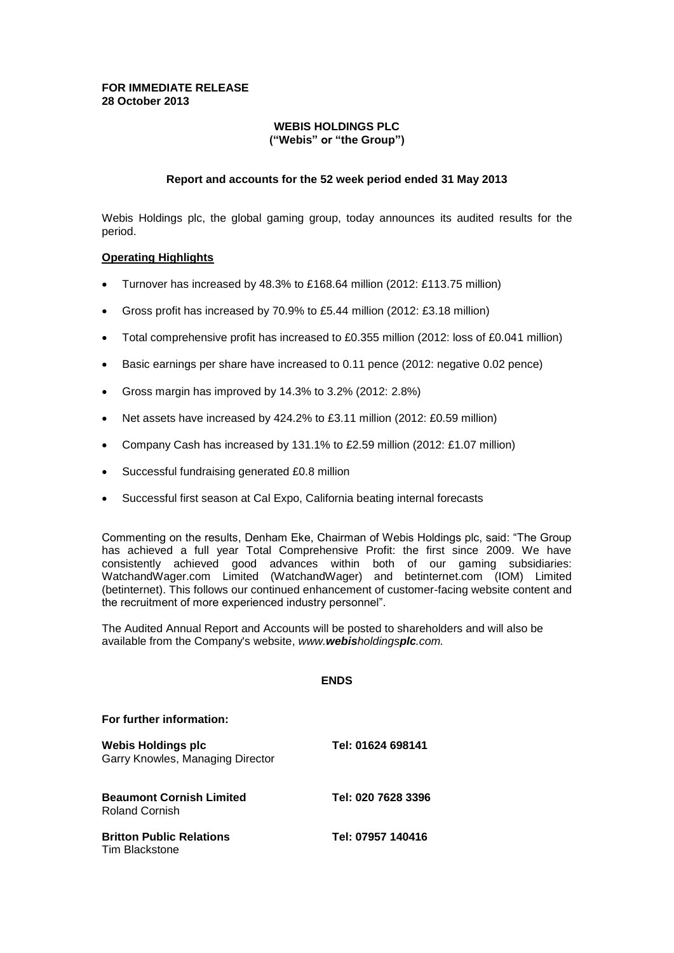## **FOR IMMEDIATE RELEASE 28 October 2013**

## **WEBIS HOLDINGS PLC ("Webis" or "the Group")**

## **Report and accounts for the 52 week period ended 31 May 2013**

Webis Holdings plc, the global gaming group, today announces its audited results for the period.

#### **Operating Highlights**

- Turnover has increased by 48.3% to £168.64 million (2012: £113.75 million)
- Gross profit has increased by 70.9% to £5.44 million (2012: £3.18 million)
- Total comprehensive profit has increased to £0.355 million (2012: loss of £0.041 million)
- Basic earnings per share have increased to 0.11 pence (2012: negative 0.02 pence)
- Gross margin has improved by 14.3% to 3.2% (2012: 2.8%)
- Net assets have increased by 424.2% to £3.11 million (2012: £0.59 million)
- Company Cash has increased by 131.1% to £2.59 million (2012: £1.07 million)
- Successful fundraising generated £0.8 million
- Successful first season at Cal Expo, California beating internal forecasts

Commenting on the results, Denham Eke, Chairman of Webis Holdings plc, said: "The Group has achieved a full year Total Comprehensive Profit: the first since 2009. We have consistently achieved good advances within both of our gaming subsidiaries: WatchandWager.com Limited (WatchandWager) and betinternet.com (IOM) Limited (betinternet). This follows our continued enhancement of customer-facing website content and the recruitment of more experienced industry personnel".

The Audited Annual Report and Accounts will be posted to shareholders and will also be available from the Company's website, *www.webisholdingsplc.com.*

#### **ENDS**

#### **For further information:**

| <b>Webis Holdings plc</b><br>Garry Knowles, Managing Director | Tel: 01624 698141  |
|---------------------------------------------------------------|--------------------|
| <b>Beaumont Cornish Limited</b><br>Roland Cornish             | Tel: 020 7628 3396 |
| <b>Britton Public Relations</b><br>Tim Blackstone             | Tel: 07957 140416  |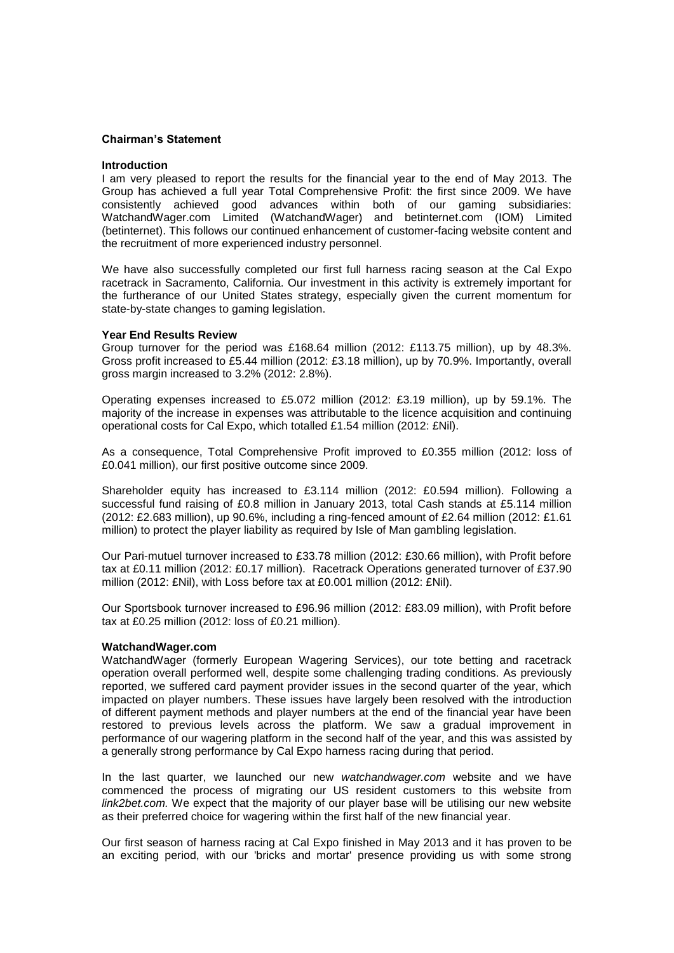#### **Chairman's Statement**

#### **Introduction**

I am very pleased to report the results for the financial year to the end of May 2013. The Group has achieved a full year Total Comprehensive Profit: the first since 2009. We have consistently achieved good advances within both of our gaming subsidiaries: WatchandWager.com Limited (WatchandWager) and betinternet.com (IOM) Limited (betinternet). This follows our continued enhancement of customer-facing website content and the recruitment of more experienced industry personnel.

We have also successfully completed our first full harness racing season at the Cal Expo racetrack in Sacramento, California. Our investment in this activity is extremely important for the furtherance of our United States strategy, especially given the current momentum for state-by-state changes to gaming legislation.

#### **Year End Results Review**

Group turnover for the period was £168.64 million (2012: £113.75 million), up by 48.3%. Gross profit increased to £5.44 million (2012: £3.18 million), up by 70.9%. Importantly, overall gross margin increased to 3.2% (2012: 2.8%).

Operating expenses increased to £5.072 million (2012: £3.19 million), up by 59.1%. The majority of the increase in expenses was attributable to the licence acquisition and continuing operational costs for Cal Expo, which totalled £1.54 million (2012: £Nil).

As a consequence, Total Comprehensive Profit improved to £0.355 million (2012: loss of £0.041 million), our first positive outcome since 2009.

Shareholder equity has increased to £3.114 million (2012: £0.594 million). Following a successful fund raising of £0.8 million in January 2013, total Cash stands at £5.114 million (2012: £2.683 million), up 90.6%, including a ring-fenced amount of £2.64 million (2012: £1.61 million) to protect the player liability as required by Isle of Man gambling legislation.

Our Pari-mutuel turnover increased to £33.78 million (2012: £30.66 million), with Profit before tax at £0.11 million (2012: £0.17 million). Racetrack Operations generated turnover of £37.90 million (2012: £Nil), with Loss before tax at £0.001 million (2012: £Nil).

Our Sportsbook turnover increased to £96.96 million (2012: £83.09 million), with Profit before tax at £0.25 million (2012: loss of £0.21 million).

#### **WatchandWager.com**

WatchandWager (formerly European Wagering Services), our tote betting and racetrack operation overall performed well, despite some challenging trading conditions. As previously reported, we suffered card payment provider issues in the second quarter of the year, which impacted on player numbers. These issues have largely been resolved with the introduction of different payment methods and player numbers at the end of the financial year have been restored to previous levels across the platform. We saw a gradual improvement in performance of our wagering platform in the second half of the year, and this was assisted by a generally strong performance by Cal Expo harness racing during that period.

In the last quarter, we launched our new *watchandwager.com* website and we have commenced the process of migrating our US resident customers to this website from *link2bet.com.* We expect that the majority of our player base will be utilising our new website as their preferred choice for wagering within the first half of the new financial year.

Our first season of harness racing at Cal Expo finished in May 2013 and it has proven to be an exciting period, with our 'bricks and mortar' presence providing us with some strong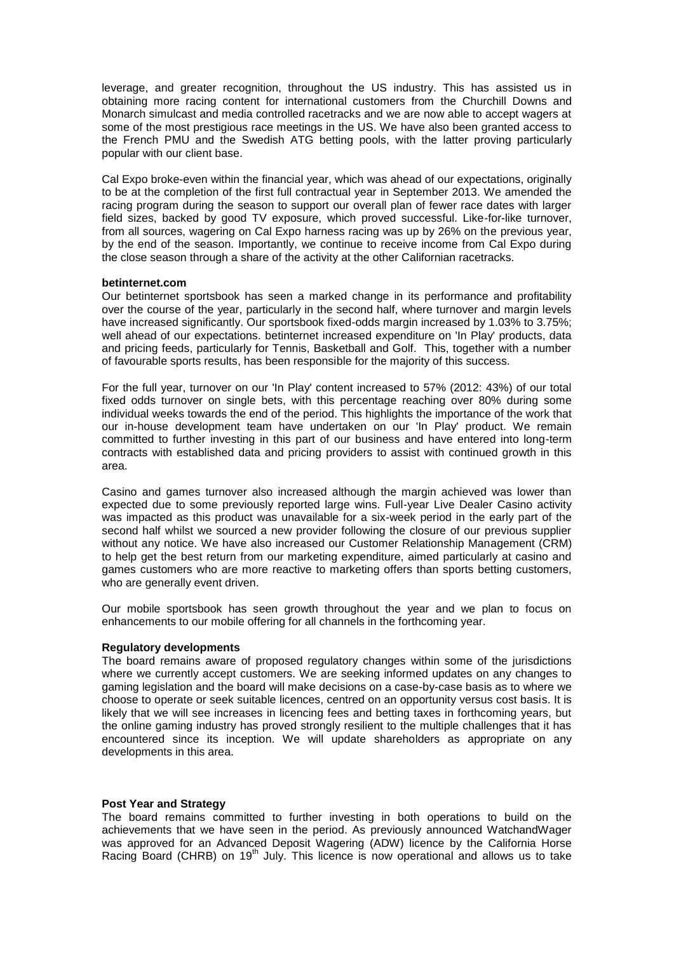leverage, and greater recognition, throughout the US industry. This has assisted us in obtaining more racing content for international customers from the Churchill Downs and Monarch simulcast and media controlled racetracks and we are now able to accept wagers at some of the most prestigious race meetings in the US. We have also been granted access to the French PMU and the Swedish ATG betting pools, with the latter proving particularly popular with our client base.

Cal Expo broke-even within the financial year, which was ahead of our expectations, originally to be at the completion of the first full contractual year in September 2013. We amended the racing program during the season to support our overall plan of fewer race dates with larger field sizes, backed by good TV exposure, which proved successful. Like-for-like turnover, from all sources, wagering on Cal Expo harness racing was up by 26% on the previous year, by the end of the season. Importantly, we continue to receive income from Cal Expo during the close season through a share of the activity at the other Californian racetracks.

#### **betinternet.com**

Our betinternet sportsbook has seen a marked change in its performance and profitability over the course of the year, particularly in the second half, where turnover and margin levels have increased significantly. Our sportsbook fixed-odds margin increased by 1.03% to 3.75%; well ahead of our expectations. betinternet increased expenditure on 'In Play' products, data and pricing feeds, particularly for Tennis, Basketball and Golf. This, together with a number of favourable sports results, has been responsible for the majority of this success.

For the full year, turnover on our 'In Play' content increased to 57% (2012: 43%) of our total fixed odds turnover on single bets, with this percentage reaching over 80% during some individual weeks towards the end of the period. This highlights the importance of the work that our in-house development team have undertaken on our 'In Play' product. We remain committed to further investing in this part of our business and have entered into long-term contracts with established data and pricing providers to assist with continued growth in this area.

Casino and games turnover also increased although the margin achieved was lower than expected due to some previously reported large wins. Full-year Live Dealer Casino activity was impacted as this product was unavailable for a six-week period in the early part of the second half whilst we sourced a new provider following the closure of our previous supplier without any notice. We have also increased our Customer Relationship Management (CRM) to help get the best return from our marketing expenditure, aimed particularly at casino and games customers who are more reactive to marketing offers than sports betting customers, who are generally event driven.

Our mobile sportsbook has seen growth throughout the year and we plan to focus on enhancements to our mobile offering for all channels in the forthcoming year.

#### **Regulatory developments**

The board remains aware of proposed regulatory changes within some of the jurisdictions where we currently accept customers. We are seeking informed updates on any changes to gaming legislation and the board will make decisions on a case-by-case basis as to where we choose to operate or seek suitable licences, centred on an opportunity versus cost basis. It is likely that we will see increases in licencing fees and betting taxes in forthcoming years, but the online gaming industry has proved strongly resilient to the multiple challenges that it has encountered since its inception. We will update shareholders as appropriate on any developments in this area.

#### **Post Year and Strategy**

The board remains committed to further investing in both operations to build on the achievements that we have seen in the period. As previously announced WatchandWager was approved for an Advanced Deposit Wagering (ADW) licence by the California Horse Racing Board (CHRB) on 19<sup>th</sup> July. This licence is now operational and allows us to take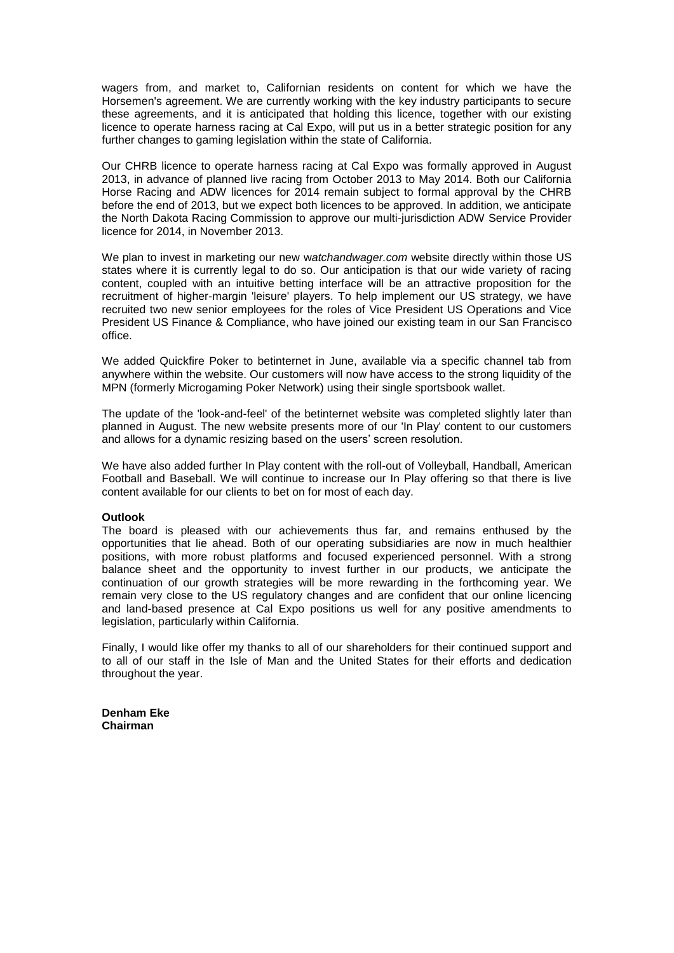wagers from, and market to, Californian residents on content for which we have the Horsemen's agreement. We are currently working with the key industry participants to secure these agreements, and it is anticipated that holding this licence, together with our existing licence to operate harness racing at Cal Expo, will put us in a better strategic position for any further changes to gaming legislation within the state of California.

Our CHRB licence to operate harness racing at Cal Expo was formally approved in August 2013, in advance of planned live racing from October 2013 to May 2014. Both our California Horse Racing and ADW licences for 2014 remain subject to formal approval by the CHRB before the end of 2013, but we expect both licences to be approved. In addition, we anticipate the North Dakota Racing Commission to approve our multi-jurisdiction ADW Service Provider licence for 2014, in November 2013.

We plan to invest in marketing our new w*atchandwager.com* website directly within those US states where it is currently legal to do so. Our anticipation is that our wide variety of racing content, coupled with an intuitive betting interface will be an attractive proposition for the recruitment of higher-margin 'leisure' players. To help implement our US strategy, we have recruited two new senior employees for the roles of Vice President US Operations and Vice President US Finance & Compliance, who have joined our existing team in our San Francisco office.

We added Quickfire Poker to betinternet in June, available via a specific channel tab from anywhere within the website. Our customers will now have access to the strong liquidity of the MPN (formerly Microgaming Poker Network) using their single sportsbook wallet.

The update of the 'look-and-feel' of the betinternet website was completed slightly later than planned in August. The new website presents more of our 'In Play' content to our customers and allows for a dynamic resizing based on the users' screen resolution.

We have also added further In Play content with the roll-out of Volleyball, Handball, American Football and Baseball. We will continue to increase our In Play offering so that there is live content available for our clients to bet on for most of each day.

#### **Outlook**

The board is pleased with our achievements thus far, and remains enthused by the opportunities that lie ahead. Both of our operating subsidiaries are now in much healthier positions, with more robust platforms and focused experienced personnel. With a strong balance sheet and the opportunity to invest further in our products, we anticipate the continuation of our growth strategies will be more rewarding in the forthcoming year. We remain very close to the US regulatory changes and are confident that our online licencing and land-based presence at Cal Expo positions us well for any positive amendments to legislation, particularly within California.

Finally, I would like offer my thanks to all of our shareholders for their continued support and to all of our staff in the Isle of Man and the United States for their efforts and dedication throughout the year.

**Denham Eke Chairman**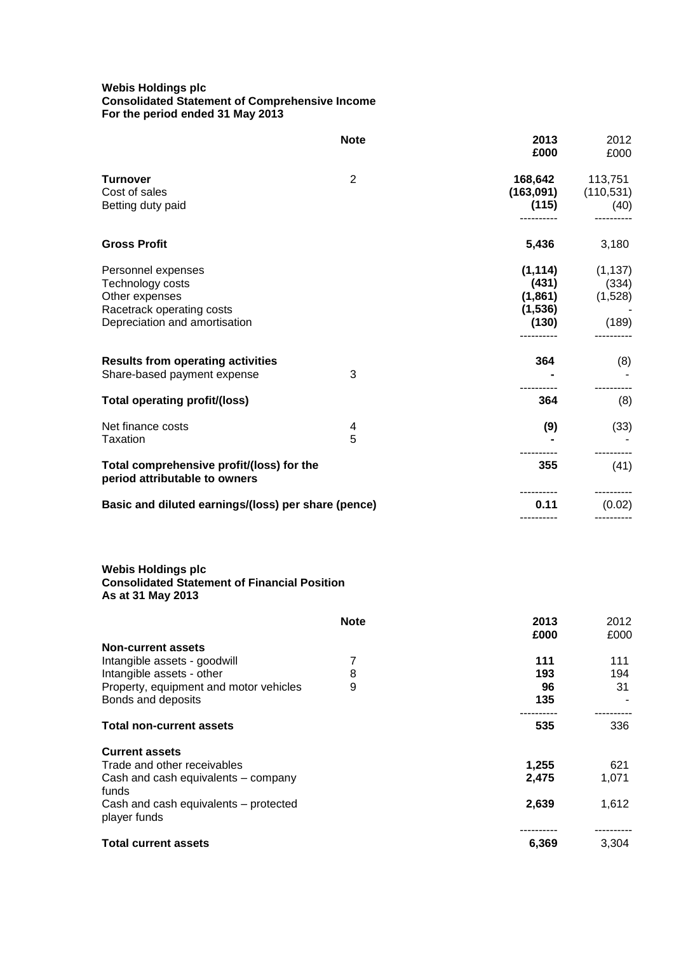### **Webis Holdings plc Consolidated Statement of Comprehensive Income For the period ended 31 May 2013**

|                                                                                                                                                        | <b>Note</b> | 2013<br>£000                                                   | 2012<br>£000                          |
|--------------------------------------------------------------------------------------------------------------------------------------------------------|-------------|----------------------------------------------------------------|---------------------------------------|
| <b>Turnover</b><br>Cost of sales<br>Betting duty paid                                                                                                  | 2           | 168,642<br>(163, 091)<br>(115)                                 | 113,751<br>(110, 531)<br>(40)         |
| <b>Gross Profit</b>                                                                                                                                    |             | 5,436                                                          | 3,180                                 |
| Personnel expenses<br>Technology costs<br>Other expenses<br>Racetrack operating costs<br>Depreciation and amortisation                                 |             | (1, 114)<br>(431)<br>(1,861)<br>(1,536)<br>(130)<br>---------- | (1, 137)<br>(334)<br>(1,528)<br>(189) |
| <b>Results from operating activities</b><br>Share-based payment expense                                                                                | 3           | 364                                                            | (8)                                   |
| <b>Total operating profit/(loss)</b>                                                                                                                   |             | 364                                                            | (8)                                   |
| Net finance costs<br>Taxation                                                                                                                          | 4<br>5      | (9)                                                            | (33)                                  |
| Total comprehensive profit/(loss) for the<br>period attributable to owners                                                                             |             | 355                                                            | (41)                                  |
| Basic and diluted earnings/(loss) per share (pence)                                                                                                    |             | 0.11                                                           | (0.02)                                |
| <b>Webis Holdings plc</b><br><b>Consolidated Statement of Financial Position</b><br>As at 31 May 2013                                                  |             |                                                                |                                       |
|                                                                                                                                                        | <b>Note</b> | 2013<br>£000                                                   | 2012<br>£000                          |
| <b>Non-current assets</b><br>Intangible assets - goodwill<br>Intangible assets - other<br>Property, equipment and motor vehicles<br>Bonds and deposits | 7<br>8<br>9 | 111<br>193<br>96<br>135                                        | 111<br>194<br>31                      |
| <b>Total non-current assets</b>                                                                                                                        |             | 535                                                            | 336                                   |
| <b>Current assets</b><br>Trade and other receivables<br>Cash and cash equivalents - company                                                            |             | 1,255<br>2,475                                                 | 621<br>1,071                          |
| funds<br>Cash and cash equivalents - protected<br>player funds                                                                                         |             | 2,639                                                          | 1,612                                 |
| <b>Total current assets</b>                                                                                                                            |             | 6,369                                                          | 3,304                                 |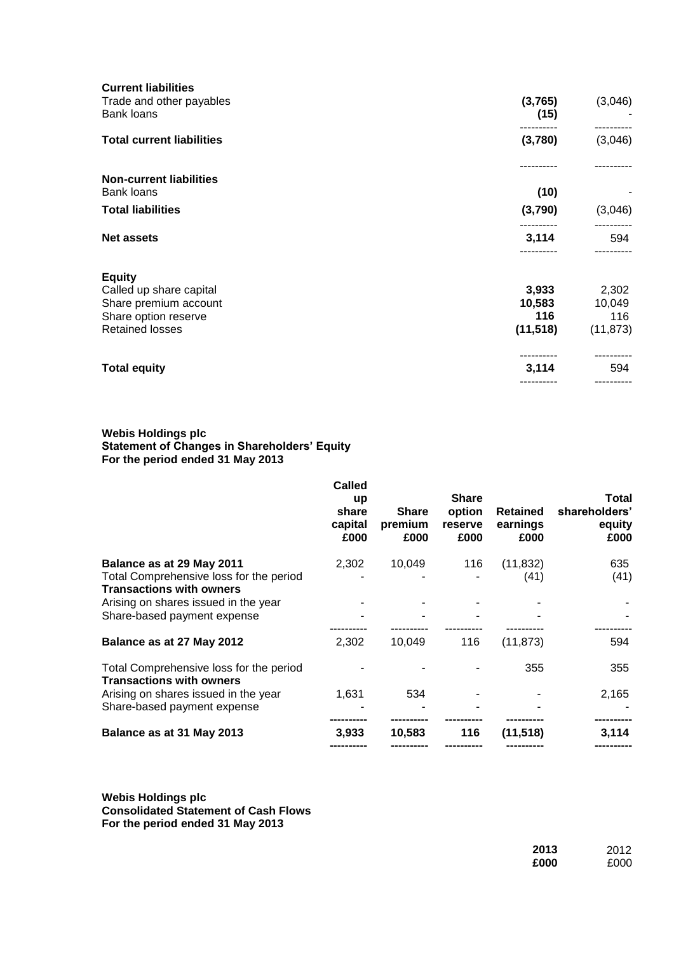| <b>Current liabilities</b><br>Trade and other payables<br>Bank loans | (3,765)<br>(15) | (3,046)   |
|----------------------------------------------------------------------|-----------------|-----------|
| <b>Total current liabilities</b>                                     | (3,780)         | (3,046)   |
| <b>Non-current liabilities</b>                                       |                 |           |
| Bank loans                                                           | (10)            |           |
| <b>Total liabilities</b>                                             | (3,790)         | (3,046)   |
| <b>Net assets</b>                                                    | 3,114           | 594       |
| <b>Equity</b>                                                        |                 |           |
| Called up share capital                                              | 3,933           | 2,302     |
| Share premium account                                                | 10,583          | 10,049    |
| Share option reserve                                                 | 116             | 116       |
| <b>Retained losses</b>                                               | (11, 518)       | (11, 873) |
| <b>Total equity</b>                                                  | 3,114           | 594       |
|                                                                      |                 |           |
|                                                                      |                 |           |

#### **Webis Holdings plc Statement of Changes in Shareholders' Equity For the period ended 31 May 2013**

|                                                                            | Called<br><b>up</b><br>share<br>capital<br>£000 | <b>Share</b><br>premium<br>£000 | <b>Share</b><br>option<br><b>reserve</b><br>£000 | <b>Retained</b><br>earnings<br>£000 | Total<br>shareholders'<br>equity<br>£000 |
|----------------------------------------------------------------------------|-------------------------------------------------|---------------------------------|--------------------------------------------------|-------------------------------------|------------------------------------------|
| Balance as at 29 May 2011                                                  | 2,302                                           | 10,049                          | 116                                              | (11, 832)                           | 635                                      |
| Total Comprehensive loss for the period<br><b>Transactions with owners</b> |                                                 |                                 |                                                  | (41)                                | (41)                                     |
| Arising on shares issued in the year                                       |                                                 |                                 |                                                  |                                     |                                          |
| Share-based payment expense                                                |                                                 |                                 |                                                  |                                     |                                          |
| Balance as at 27 May 2012                                                  | 2,302                                           | 10,049                          | 116                                              | (11, 873)                           | 594                                      |
| Total Comprehensive loss for the period<br><b>Transactions with owners</b> |                                                 |                                 |                                                  | 355                                 | 355                                      |
| Arising on shares issued in the year                                       | 1,631                                           | 534                             |                                                  |                                     | 2,165                                    |
| Share-based payment expense                                                |                                                 |                                 |                                                  |                                     |                                          |
| Balance as at 31 May 2013                                                  | 3.933                                           | 10,583                          | 116                                              | (11, 518)                           | 3,114                                    |
|                                                                            |                                                 |                                 |                                                  |                                     |                                          |

**Webis Holdings plc Consolidated Statement of Cash Flows For the period ended 31 May 2013**

| 2013 | 2012 |
|------|------|
| £000 | £000 |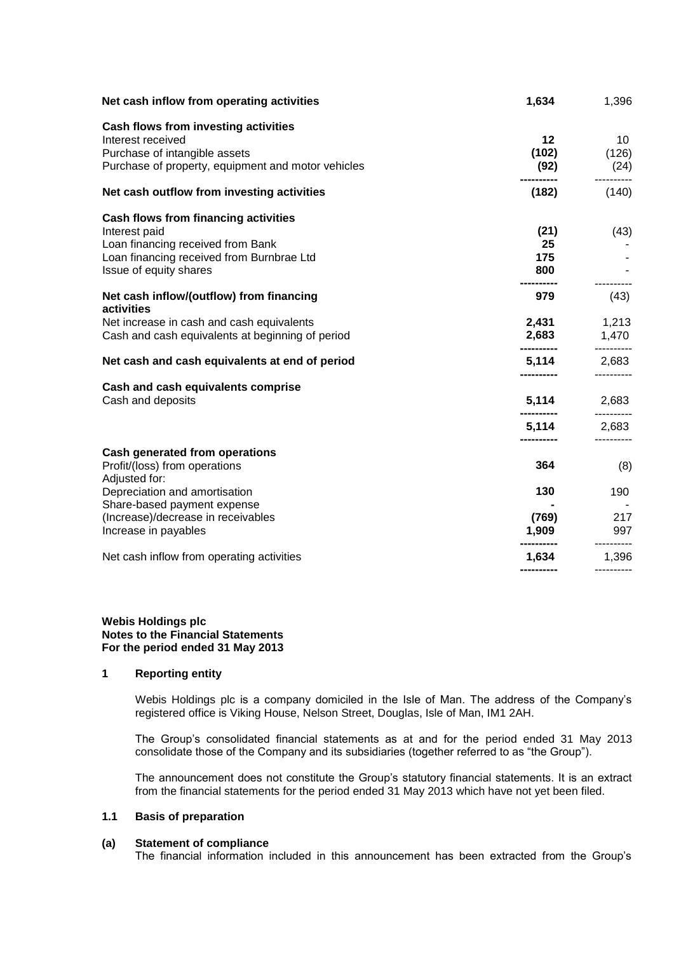| Net cash inflow from operating activities                                                                                                                         | 1,634                                  | 1,396                                    |
|-------------------------------------------------------------------------------------------------------------------------------------------------------------------|----------------------------------------|------------------------------------------|
| Cash flows from investing activities<br>Interest received<br>Purchase of intangible assets<br>Purchase of property, equipment and motor vehicles                  | 12 <sup>7</sup><br>(102)<br>(92)       | 10<br>(126)<br>(24)                      |
| Net cash outflow from investing activities                                                                                                                        | (182)                                  | (140)                                    |
| Cash flows from financing activities<br>Interest paid<br>Loan financing received from Bank<br>Loan financing received from Burnbrae Ltd<br>Issue of equity shares | (21)<br>25<br>175<br>800<br>---------- | (43)                                     |
| Net cash inflow/(outflow) from financing<br>activities                                                                                                            | 979                                    | (43)                                     |
| Net increase in cash and cash equivalents<br>Cash and cash equivalents at beginning of period                                                                     | ----------                             | 2,431 1,213<br>2,683 1,470<br>---------- |
| Net cash and cash equivalents at end of period                                                                                                                    | -----------                            | <b>5,114</b> 2,683<br>----------         |
| Cash and cash equivalents comprise<br>Cash and deposits                                                                                                           | ----------                             | <b>5,114</b> 2,683<br>----------         |
|                                                                                                                                                                   | 5,114<br>----------                    | 2,683                                    |
| <b>Cash generated from operations</b><br>Profit/(loss) from operations<br>Adjusted for:                                                                           | 364                                    | (8)                                      |
| Depreciation and amortisation<br>Share-based payment expense                                                                                                      | 130                                    | 190                                      |
| (Increase)/decrease in receivables<br>Increase in payables                                                                                                        | (769)<br>1,909                         | 217<br>997<br>----------                 |
| Net cash inflow from operating activities                                                                                                                         | 1,634<br>-----------                   | 1,396<br>----------                      |
|                                                                                                                                                                   |                                        |                                          |

#### **Webis Holdings plc Notes to the Financial Statements For the period ended 31 May 2013**

## **1 Reporting entity**

Webis Holdings plc is a company domiciled in the Isle of Man. The address of the Company's registered office is Viking House, Nelson Street, Douglas, Isle of Man, IM1 2AH.

The Group's consolidated financial statements as at and for the period ended 31 May 2013 consolidate those of the Company and its subsidiaries (together referred to as "the Group").

The announcement does not constitute the Group's statutory financial statements. It is an extract from the financial statements for the period ended 31 May 2013 which have not yet been filed.

# **1.1 Basis of preparation**

## **(a) Statement of compliance**

The financial information included in this announcement has been extracted from the Group's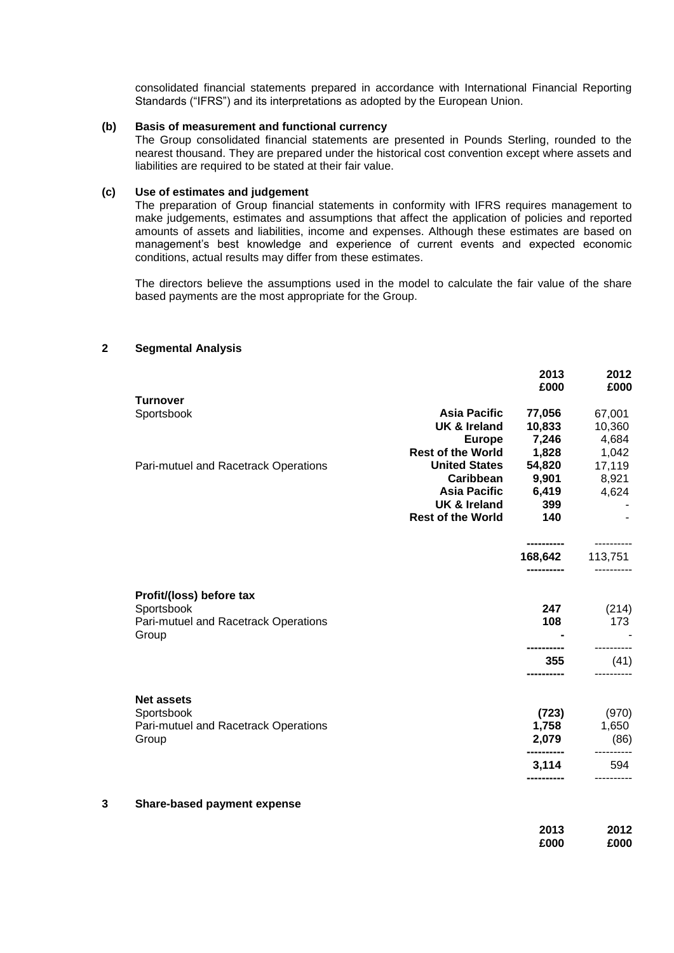consolidated financial statements prepared in accordance with International Financial Reporting Standards ("IFRS") and its interpretations as adopted by the European Union.

### **(b) Basis of measurement and functional currency**

The Group consolidated financial statements are presented in Pounds Sterling, rounded to the nearest thousand. They are prepared under the historical cost convention except where assets and liabilities are required to be stated at their fair value.

## **(c) Use of estimates and judgement**

The preparation of Group financial statements in conformity with IFRS requires management to make judgements, estimates and assumptions that affect the application of policies and reported amounts of assets and liabilities, income and expenses. Although these estimates are based on management's best knowledge and experience of current events and expected economic conditions, actual results may differ from these estimates.

The directors believe the assumptions used in the model to calculate the fair value of the share based payments are the most appropriate for the Group.

|                     | 2013                                                                                                                                               | 2012<br>£000                                                                                 |
|---------------------|----------------------------------------------------------------------------------------------------------------------------------------------------|----------------------------------------------------------------------------------------------|
|                     |                                                                                                                                                    |                                                                                              |
| <b>Asia Pacific</b> | 77,056                                                                                                                                             | 67,001                                                                                       |
| UK & Ireland        | 10,833                                                                                                                                             | 10,360                                                                                       |
| <b>Europe</b>       | 7,246                                                                                                                                              | 4,684                                                                                        |
|                     | 1,828                                                                                                                                              | 1,042                                                                                        |
|                     |                                                                                                                                                    | 17,119                                                                                       |
|                     |                                                                                                                                                    | 8,921                                                                                        |
|                     |                                                                                                                                                    | 4,624                                                                                        |
|                     |                                                                                                                                                    |                                                                                              |
|                     |                                                                                                                                                    |                                                                                              |
|                     |                                                                                                                                                    | ----------<br>113,751                                                                        |
|                     | -----------                                                                                                                                        |                                                                                              |
|                     |                                                                                                                                                    | (214)                                                                                        |
|                     | 108                                                                                                                                                | 173                                                                                          |
|                     |                                                                                                                                                    |                                                                                              |
|                     | ---------                                                                                                                                          | (41)                                                                                         |
|                     |                                                                                                                                                    |                                                                                              |
|                     | (723)                                                                                                                                              | (970)                                                                                        |
|                     | 1,758                                                                                                                                              | 1,650                                                                                        |
|                     |                                                                                                                                                    | (86)                                                                                         |
|                     | 3,114                                                                                                                                              | 594                                                                                          |
|                     |                                                                                                                                                    |                                                                                              |
|                     | 2013                                                                                                                                               | 2012<br>£000                                                                                 |
|                     | <b>Rest of the World</b><br><b>United States</b><br><b>Caribbean</b><br><b>Asia Pacific</b><br><b>UK &amp; Ireland</b><br><b>Rest of the World</b> | £000<br>54,820<br>9,901<br>6,419<br>399<br>140<br>168,642<br>247<br>355<br>2,079<br><br>£000 |

## **2 Segmental Analysis**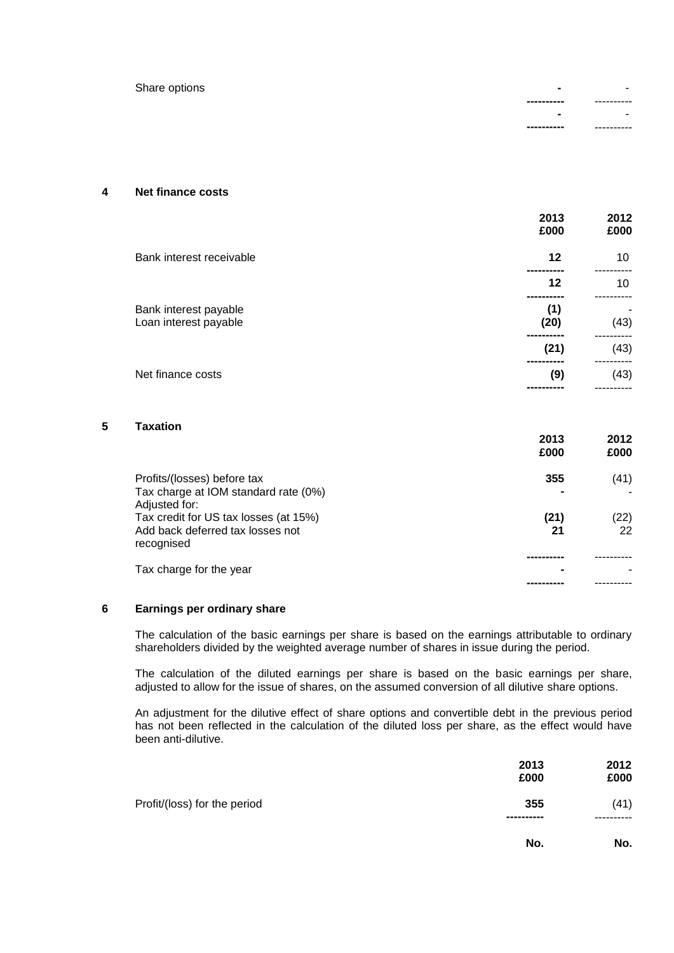Share options

| ---------- | ------<br>--<br>.,       |
|------------|--------------------------|
| ۰          |                          |
| ---------- | --<br>-----<br>.,<br>- 1 |

## **4 Net finance costs**

|                                                | 2013<br>£000 | 2012<br>£000 |
|------------------------------------------------|--------------|--------------|
| Bank interest receivable                       | 12           | 10           |
|                                                | 12           | 10           |
| Bank interest payable<br>Loan interest payable | (1)<br>(20)  | -<br>(43)    |
|                                                | (21)         | (43)         |
| Net finance costs                              | (9)          | (43)         |

## **5 Taxation**

|                                                        | 2013<br>£000 | 2012<br>£000 |
|--------------------------------------------------------|--------------|--------------|
| Profits/(losses) before tax                            | 355          | (41)         |
| Tax charge at IOM standard rate (0%)                   |              |              |
| Adjusted for:<br>Tax credit for US tax losses (at 15%) | (21)         | (22)         |
| Add back deferred tax losses not<br>recognised         | 21           | 22           |
|                                                        |              |              |
| Tax charge for the year                                |              |              |
|                                                        |              |              |

## **6 Earnings per ordinary share**

The calculation of the basic earnings per share is based on the earnings attributable to ordinary shareholders divided by the weighted average number of shares in issue during the period.

The calculation of the diluted earnings per share is based on the basic earnings per share, adjusted to allow for the issue of shares, on the assumed conversion of all dilutive share options.

An adjustment for the dilutive effect of share options and convertible debt in the previous period has not been reflected in the calculation of the diluted loss per share, as the effect would have been anti-dilutive.

|                              | 2013<br>£000      | 2012<br>£000 |
|------------------------------|-------------------|--------------|
| Profit/(loss) for the period | 355<br>---------- | (41)         |
|                              | No.               | No.          |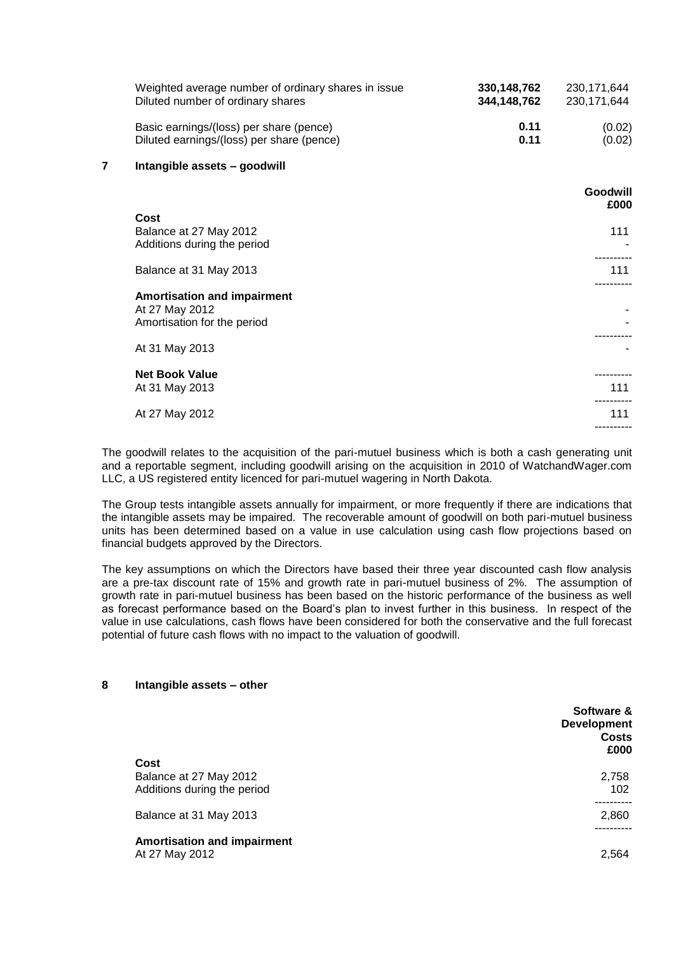|   | Weighted average number of ordinary shares in issue<br>Diluted number of ordinary shares | 330, 148, 762<br>344,148,762 | 230, 171, 644<br>230, 171, 644 |
|---|------------------------------------------------------------------------------------------|------------------------------|--------------------------------|
|   | Basic earnings/(loss) per share (pence)<br>Diluted earnings/(loss) per share (pence)     | 0.11<br>0.11                 | (0.02)<br>(0.02)               |
| 7 | Intangible assets - goodwill                                                             |                              |                                |
|   |                                                                                          |                              | Goodwill<br>£000               |
|   | Cost<br>Balance at 27 May 2012<br>Additions during the period                            |                              | 111                            |
|   | Balance at 31 May 2013                                                                   |                              | 111                            |
|   | <b>Amortisation and impairment</b><br>At 27 May 2012<br>Amortisation for the period      |                              |                                |
|   | At 31 May 2013                                                                           |                              |                                |
|   | <b>Net Book Value</b><br>At 31 May 2013                                                  |                              | 111                            |
|   | At 27 May 2012                                                                           |                              | 111                            |
|   |                                                                                          |                              |                                |

The goodwill relates to the acquisition of the pari-mutuel business which is both a cash generating unit and a reportable segment, including goodwill arising on the acquisition in 2010 of WatchandWager.com LLC, a US registered entity licenced for pari-mutuel wagering in North Dakota.

The Group tests intangible assets annually for impairment, or more frequently if there are indications that the intangible assets may be impaired. The recoverable amount of goodwill on both pari-mutuel business units has been determined based on a value in use calculation using cash flow projections based on financial budgets approved by the Directors.

The key assumptions on which the Directors have based their three year discounted cash flow analysis are a pre-tax discount rate of 15% and growth rate in pari-mutuel business of 2%. The assumption of growth rate in pari-mutuel business has been based on the historic performance of the business as well as forecast performance based on the Board's plan to invest further in this business. In respect of the value in use calculations, cash flows have been considered for both the conservative and the full forecast potential of future cash flows with no impact to the valuation of goodwill.

# **Software & Development Costs £000 Cost** Balance at 27 May 2012 2,758 Additions during the period 102 ---------- Balance at 31 May 2013 2,860 ---------- **Amortisation and impairment** At 27 May 2012 2,564

## **8 Intangible assets – other**